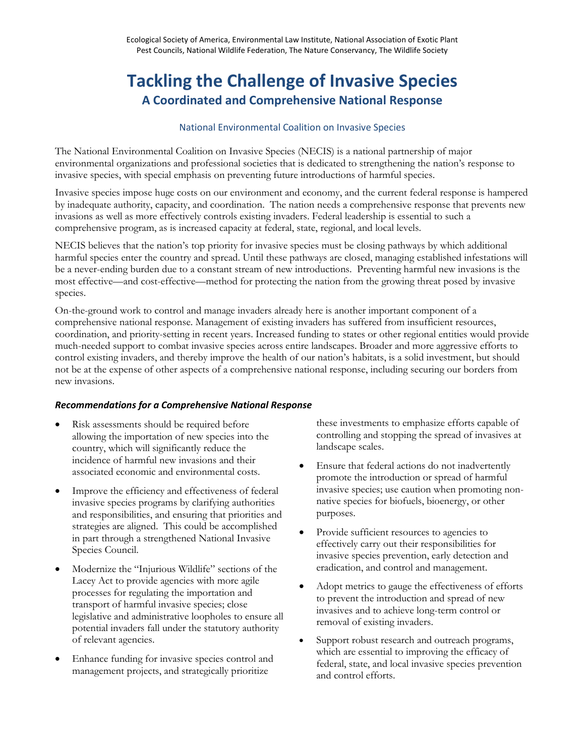# **Tackling the Challenge of Invasive Species A Coordinated and Comprehensive National Response**

### National Environmental Coalition on Invasive Species

The National Environmental Coalition on Invasive Species (NECIS) is a national partnership of major environmental organizations and professional societies that is dedicated to strengthening the nation's response to invasive species, with special emphasis on preventing future introductions of harmful species.

Invasive species impose huge costs on our environment and economy, and the current federal response is hampered by inadequate authority, capacity, and coordination. The nation needs a comprehensive response that prevents new invasions as well as more effectively controls existing invaders. Federal leadership is essential to such a comprehensive program, as is increased capacity at federal, state, regional, and local levels.

NECIS believes that the nation's top priority for invasive species must be closing pathways by which additional harmful species enter the country and spread. Until these pathways are closed, managing established infestations will be a never-ending burden due to a constant stream of new introductions. Preventing harmful new invasions is the most effective—and cost-effective—method for protecting the nation from the growing threat posed by invasive species.

On-the-ground work to control and manage invaders already here is another important component of a comprehensive national response. Management of existing invaders has suffered from insufficient resources, coordination, and priority-setting in recent years. Increased funding to states or other regional entities would provide much-needed support to combat invasive species across entire landscapes. Broader and more aggressive efforts to control existing invaders, and thereby improve the health of our nation's habitats, is a solid investment, but should not be at the expense of other aspects of a comprehensive national response, including securing our borders from new invasions.

## *Recommendations for a Comprehensive National Response*

- Risk assessments should be required before allowing the importation of new species into the country, which will significantly reduce the incidence of harmful new invasions and their associated economic and environmental costs.
- Improve the efficiency and effectiveness of federal invasive species programs by clarifying authorities and responsibilities, and ensuring that priorities and strategies are aligned. This could be accomplished in part through a strengthened National Invasive Species Council.
- Modernize the "Injurious Wildlife" sections of the Lacey Act to provide agencies with more agile processes for regulating the importation and transport of harmful invasive species; close legislative and administrative loopholes to ensure all potential invaders fall under the statutory authority of relevant agencies.
- Enhance funding for invasive species control and management projects, and strategically prioritize

these investments to emphasize efforts capable of controlling and stopping the spread of invasives at landscape scales.

- Ensure that federal actions do not inadvertently promote the introduction or spread of harmful invasive species; use caution when promoting nonnative species for biofuels, bioenergy, or other purposes.
- Provide sufficient resources to agencies to effectively carry out their responsibilities for invasive species prevention, early detection and eradication, and control and management.
- Adopt metrics to gauge the effectiveness of efforts to prevent the introduction and spread of new invasives and to achieve long-term control or removal of existing invaders.
- Support robust research and outreach programs, which are essential to improving the efficacy of federal, state, and local invasive species prevention and control efforts.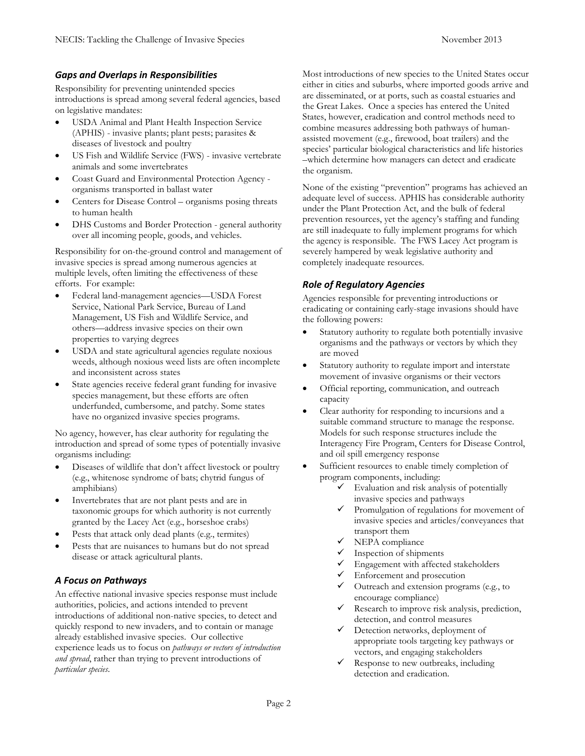## *Gaps and Overlaps in Responsibilities*

Responsibility for preventing unintended species introductions is spread among several federal agencies, based on legislative mandates:

- USDA Animal and Plant Health Inspection Service (APHIS) - invasive plants; plant pests; parasites & diseases of livestock and poultry
- US Fish and Wildlife Service (FWS) invasive vertebrate animals and some invertebrates
- Coast Guard and Environmental Protection Agency organisms transported in ballast water
- Centers for Disease Control organisms posing threats to human health
- DHS Customs and Border Protection general authority over all incoming people, goods, and vehicles.

Responsibility for on-the-ground control and management of invasive species is spread among numerous agencies at multiple levels, often limiting the effectiveness of these efforts. For example:

- Federal land-management agencies—USDA Forest Service, National Park Service, Bureau of Land Management, US Fish and Wildlife Service, and others—address invasive species on their own properties to varying degrees
- USDA and state agricultural agencies regulate noxious weeds, although noxious weed lists are often incomplete and inconsistent across states
- State agencies receive federal grant funding for invasive species management, but these efforts are often underfunded, cumbersome, and patchy. Some states have no organized invasive species programs.

No agency, however, has clear authority for regulating the introduction and spread of some types of potentially invasive organisms including:

- Diseases of wildlife that don't affect livestock or poultry (e.g., whitenose syndrome of bats; chytrid fungus of amphibians)
- Invertebrates that are not plant pests and are in taxonomic groups for which authority is not currently granted by the Lacey Act (e.g., horseshoe crabs)
- Pests that attack only dead plants (e.g., termites)
- Pests that are nuisances to humans but do not spread disease or attack agricultural plants.

# *A Focus on Pathways*

An effective national invasive species response must include authorities, policies, and actions intended to prevent introductions of additional non-native species, to detect and quickly respond to new invaders, and to contain or manage already established invasive species. Our collective experience leads us to focus on *pathways or vectors of introduction and spread*, rather than trying to prevent introductions of *particular species*.

Most introductions of new species to the United States occur either in cities and suburbs, where imported goods arrive and are disseminated, or at ports, such as coastal estuaries and the Great Lakes. Once a species has entered the United States, however, eradication and control methods need to combine measures addressing both pathways of humanassisted movement (e.g., firewood, boat trailers) and the species' particular biological characteristics and life histories –which determine how managers can detect and eradicate the organism.

None of the existing "prevention" programs has achieved an adequate level of success. APHIS has considerable authority under the Plant Protection Act, and the bulk of federal prevention resources, yet the agency's staffing and funding are still inadequate to fully implement programs for which the agency is responsible. The FWS Lacey Act program is severely hampered by weak legislative authority and completely inadequate resources.

# *Role of Regulatory Agencies*

Agencies responsible for preventing introductions or eradicating or containing early-stage invasions should have the following powers:

- Statutory authority to regulate both potentially invasive organisms and the pathways or vectors by which they are moved
- Statutory authority to regulate import and interstate movement of invasive organisms or their vectors
- Official reporting, communication, and outreach capacity
- Clear authority for responding to incursions and a suitable command structure to manage the response. Models for such response structures include the Interagency Fire Program, Centers for Disease Control, and oil spill emergency response
- Sufficient resources to enable timely completion of program components, including:
	- $\checkmark$  Evaluation and risk analysis of potentially invasive species and pathways
	- $\checkmark$  Promulgation of regulations for movement of invasive species and articles/conveyances that transport them
	- $\checkmark$  NEPA compliance
	- Inspection of shipments
	- Engagement with affected stakeholders
	- Enforcement and prosecution
	- $\checkmark$  Outreach and extension programs (e.g., to encourage compliance)
	- $\checkmark$  Research to improve risk analysis, prediction, detection, and control measures
	- Detection networks, deployment of appropriate tools targeting key pathways or vectors, and engaging stakeholders
	- $\checkmark$  Response to new outbreaks, including detection and eradication.